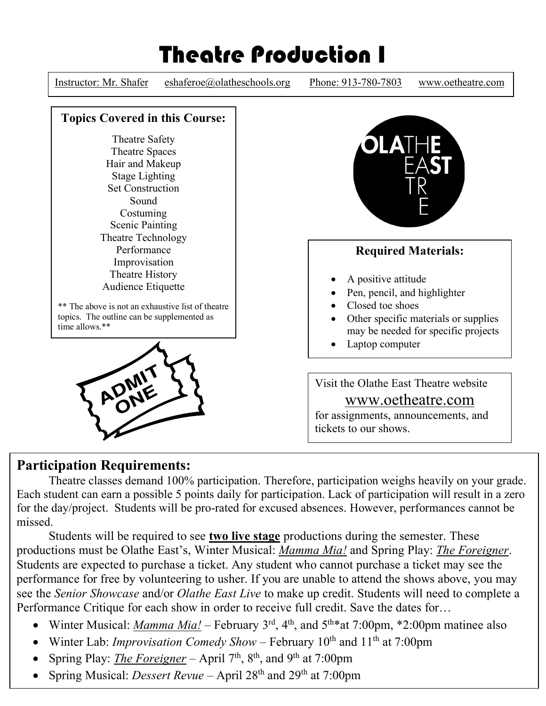# Theatre Production I



#### **Participation Requirements:**

Theatre classes demand 100% participation. Therefore, participation weighs heavily on your grade. Each student can earn a possible 5 points daily for participation. Lack of participation will result in a zero for the day/project. Students will be pro-rated for excused absences. However, performances cannot be missed.

Students will be required to see **two live stage** productions during the semester. These productions must be Olathe East's, Winter Musical: *Mamma Mia!* and Spring Play: *The Foreigner*. Students are expected to purchase a ticket. Any student who cannot purchase a ticket may see the performance for free by volunteering to usher. If you are unable to attend the shows above, you may see the *Senior Showcase* and/or *Olathe East Live* to make up credit. Students will need to complete a Performance Critique for each show in order to receive full credit. Save the dates for…

- Winter Musical: *Mamma Mia!* February  $3<sup>rd</sup>$ ,  $4<sup>th</sup>$ , and  $5<sup>th</sup>$  at 7:00pm, \*2:00pm matinee also
- Winter Lab: *Improvisation Comedy Show* February 10<sup>th</sup> and 11<sup>th</sup> at 7:00pm
- Spring Play: *The Foreigner* April 7<sup>th</sup>, 8<sup>th</sup>, and 9<sup>th</sup> at 7:00pm
- Spring Musical: *Dessert Revue* April 28<sup>th</sup> and 29<sup>th</sup> at 7:00pm